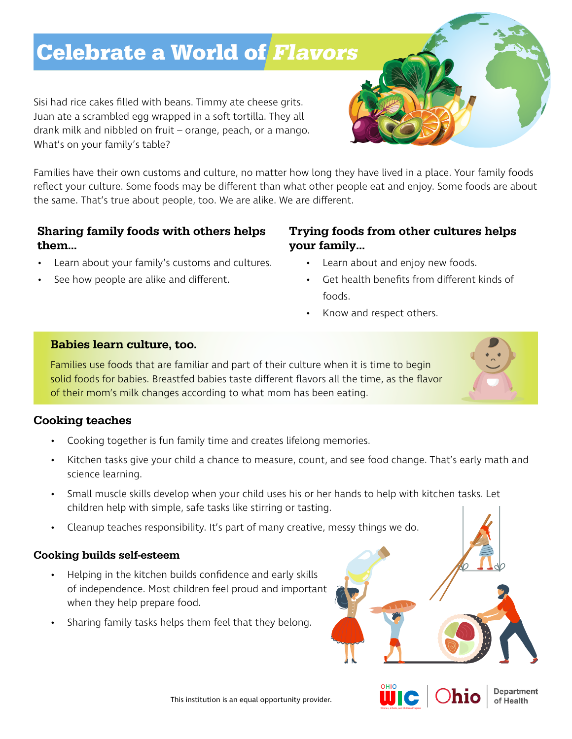# Celebrate a World of Flavors

Sisi had rice cakes filled with beans. Timmy ate cheese grits. Juan ate a scrambled egg wrapped in a soft tortilla. They all drank milk and nibbled on fruit – orange, peach, or a mango. What's on your family's table?

Families have their own customs and culture, no matter how long they have lived in a place. Your family foods reflect your culture. Some foods may be different than what other people eat and enjoy. Some foods are about the same. That's true about people, too. We are alike. We are different.

# Sharing family foods with others helps them…

- Learn about your family's customs and cultures.
- See how people are alike and different.

### Trying foods from other cultures helps your family…

- Learn about and enjoy new foods.
- Get health benefits from different kinds of foods.
- Know and respect others.

#### Babies learn culture, too.

Families use foods that are familiar and part of their culture when it is time to begin solid foods for babies. Breastfed babies taste different flavors all the time, as the flavor of their mom's milk changes according to what mom has been eating.

### Cooking teaches

- Cooking together is fun family time and creates lifelong memories.
- Kitchen tasks give your child a chance to measure, count, and see food change. That's early math and science learning.
- Small muscle skills develop when your child uses his or her hands to help with kitchen tasks. Let children help with simple, safe tasks like stirring or tasting.
- Cleanup teaches responsibility. It's part of many creative, messy things we do.

### Cooking builds self-esteem

- Helping in the kitchen builds confidence and early skills of independence. Most children feel proud and important when they help prepare food.
- Sharing family tasks helps them feel that they belong.



**Department** of Health